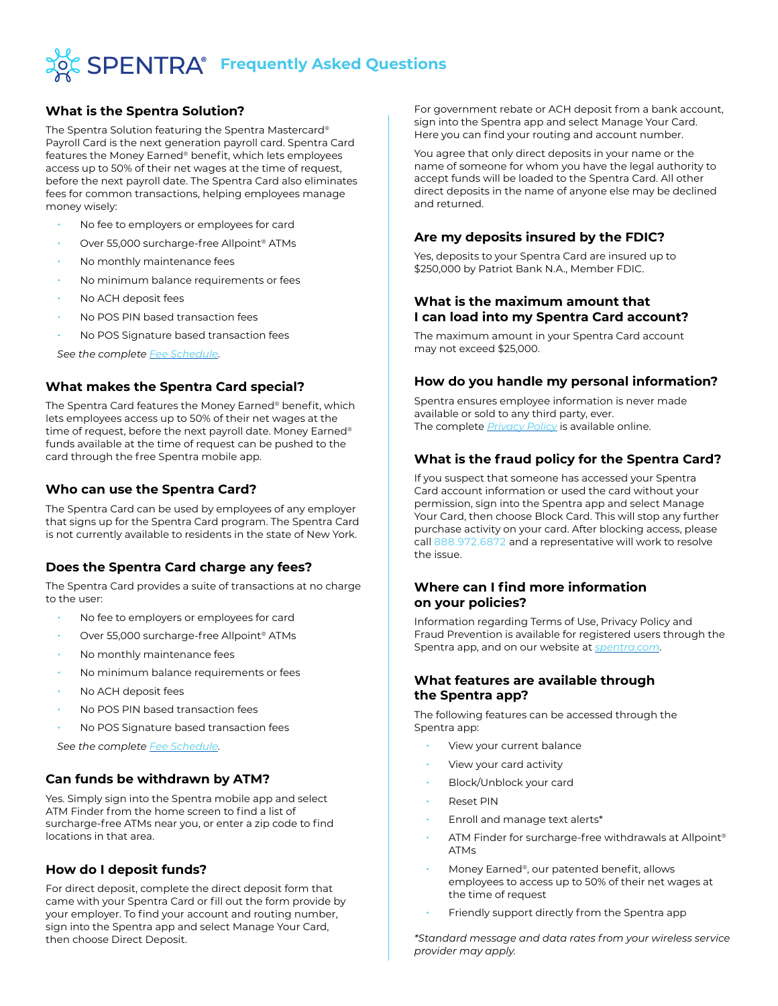

### **What is the Spentra Solution?**

The Spentra Solution featuring the Spentra Mastercard® Payroll Card is the next generation payroll card. Spentra Card features the Money Earned® benefit, which lets employees access up to 50% of their net wages at the time of request, before the next payroll date. The Spentra Card also eliminates fees for common transactions, helping employees manage money wisely:

- No fee to employers or employees for card
- Over 55,000 surcharge-free Allpoint® ATMs
- No monthly maintenance fees
- No minimum balance requirements or fees
- No ACH deposit fees
- No POS PIN based transaction fees
- No POS Signature based transaction fees

*See the complete [Fee Schedule.](https://spentra.com/en/fee-schedule/)*

#### **What makes the Spentra Card special?**

The Spentra Card features the Money Earned® benefit, which lets employees access up to 50% of their net wages at the time of request, before the next payroll date. Money Earned® funds available at the time of request can be pushed to the card through the free Spentra mobile app.

#### **Who can use the Spentra Card?**

The Spentra Card can be used by employees of any employer that signs up for the Spentra Card program. The Spentra Card is not currently available to residents in the state of New York.

## **Does the Spentra Card charge any fees?**

The Spentra Card provides a suite of transactions at no charge to the user:

- No fee to employers or employees for card
- Over 55,000 surcharge-free Allpoint® ATMs
- No monthly maintenance fees
- No minimum balance requirements or fees
- No ACH deposit fees
- No POS PIN based transaction fees
- No POS Signature based transaction fees

*See the complete [Fee Schedule.](https://spentra.com/en/fee-schedule/)*

## **Can funds be withdrawn by ATM?**

Yes. Simply sign into the Spentra mobile app and select ATM Finder from the home screen to find a list of surcharge-free ATMs near you, or enter a zip code to find locations in that area.

#### **How do I deposit funds?**

For direct deposit, complete the direct deposit form that came with your Spentra Card or fill out the form provide by your employer. To find your account and routing number, sign into the Spentra app and select Manage Your Card, then choose Direct Deposit.

For government rebate or ACH deposit from a bank account, sign into the Spentra app and select Manage Your Card. Here you can find your routing and account number.

You agree that only direct deposits in your name or the name of someone for whom you have the legal authority to accept funds will be loaded to the Spentra Card. All other direct deposits in the name of anyone else may be declined and returned.

### **Are my deposits insured by the FDIC?**

Yes, deposits to your Spentra Card are insured up to \$250,000 by Patriot Bank N.A., Member FDIC.

#### **What is the maximum amount that I can load into my Spentra Card account?**

The maximum amount in your Spentra Card account may not exceed \$25,000.

## **How do you handle my personal information?**

Spentra ensures employee information is never made available or sold to any third party, ever. The complete *[Privacy Policy](https://spentra.com/en/privacy-policy/)* is available online.

## **What is the fraud policy for the Spentra Card?**

If you suspect that someone has accessed your Spentra Card account information or used the card without your permission, sign into the Spentra app and select Manage Your Card, then choose Block Card. This will stop any further purchase activity on your card. After blocking access, please call 888.972.6872 and a representative will work to resolve the issue.

#### **Where can I find more information on your policies?**

Information regarding Terms of Use, Privacy Policy and Fraud Prevention is available for registered users through the Spentra app, and on our website at *[spentra.com](https://spentra.com/)*.

#### **What features are available through the Spentra app?**

The following features can be accessed through the Spentra app:

- View your current balance
- View your card activity
- Block/Unblock your card
- **Reset PIN**
- Enroll and manage text alerts\*
- ATM Finder for surcharge-free withdrawals at Allpoint® ATMs
- Money Earned®, our patented benefit, allows employees to access up to 50% of their net wages at the time of request
- Friendly support directly from the Spentra app

*\*Standard message and data rates from your wireless service provider may apply.*